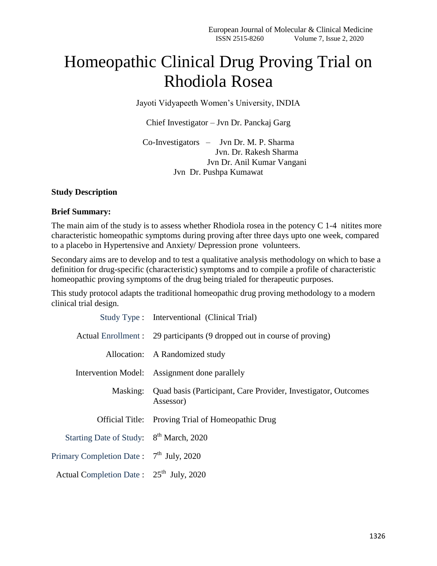## Homeopathic Clinical Drug Proving Trial on Rhodiola Rosea

Jayoti Vidyapeeth Women's University, INDIA

Chief Investigator – Jvn Dr. Panckaj Garg

Co-Investigators – Jvn Dr. M. P. Sharma Jvn. Dr. Rakesh Sharma Jvn Dr. Anil Kumar Vangani Jvn Dr. Pushpa Kumawat

## **Study Description**

## **Brief Summary:**

The main aim of the study is to assess whether Rhodiola rosea in the potency C 1-4 nitites more characteristic homeopathic symptoms during proving after three days upto one week, compared to a placebo in Hypertensive and Anxiety/ Depression prone volunteers.

Secondary aims are to develop and to test a qualitative analysis methodology on which to base a definition for drug-specific (characteristic) symptoms and to compile a profile of characteristic homeopathic proving symptoms of the drug being trialed for therapeutic purposes.

This study protocol adapts the traditional homeopathic drug proving methodology to a modern clinical trial design.

|                                                     | Study Type : Interventional (Clinical Trial)                                         |  |
|-----------------------------------------------------|--------------------------------------------------------------------------------------|--|
|                                                     | Actual Enrollment : 29 participants (9 dropped out in course of proving)             |  |
|                                                     | Allocation: A Randomized study                                                       |  |
|                                                     | Intervention Model: Assignment done parallely                                        |  |
|                                                     | Masking: Quad basis (Participant, Care Provider, Investigator, Outcomes<br>Assessor) |  |
|                                                     | Official Title: Proving Trial of Homeopathic Drug                                    |  |
| Starting Date of Study: 8 <sup>th</sup> March, 2020 |                                                                                      |  |
| Primary Completion Date: $7th$ July, 2020           |                                                                                      |  |
| Actual Completion Date: 25 <sup>th</sup> July, 2020 |                                                                                      |  |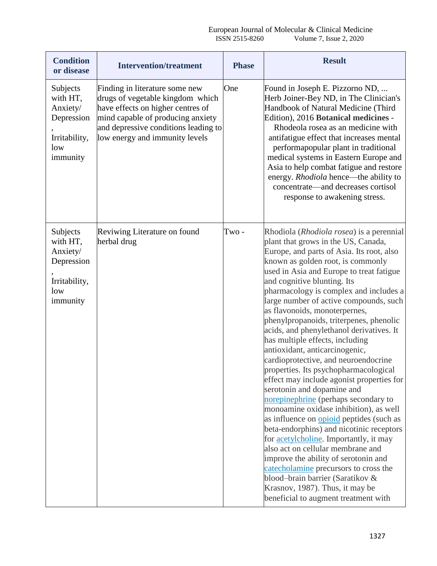| <b>Condition</b><br>or disease                                                     | <b>Intervention/treatment</b>                                                                                                                                                                                          | <b>Phase</b> | <b>Result</b>                                                                                                                                                                                                                                                                                                                                                                                                                                                                                                                                                                                                                                                                                                                                                                                                                                                                                                                                                                                                                                                                                                                                                     |
|------------------------------------------------------------------------------------|------------------------------------------------------------------------------------------------------------------------------------------------------------------------------------------------------------------------|--------------|-------------------------------------------------------------------------------------------------------------------------------------------------------------------------------------------------------------------------------------------------------------------------------------------------------------------------------------------------------------------------------------------------------------------------------------------------------------------------------------------------------------------------------------------------------------------------------------------------------------------------------------------------------------------------------------------------------------------------------------------------------------------------------------------------------------------------------------------------------------------------------------------------------------------------------------------------------------------------------------------------------------------------------------------------------------------------------------------------------------------------------------------------------------------|
| Subjects<br>with HT,<br>Anxiety/<br>Depression<br>Irritability,<br>low<br>immunity | Finding in literature some new<br>drugs of vegetable kingdom which<br>have effects on higher centres of<br>mind capable of producing anxiety<br>and depressive conditions leading to<br>low energy and immunity levels | One          | Found in Joseph E. Pizzorno ND,<br>Herb Joiner-Bey ND, in The Clinician's<br>Handbook of Natural Medicine (Third<br>Edition), 2016 Botanical medicines -<br>Rhodeola rosea as an medicine with<br>antifatigue effect that increases mental<br>performapopular plant in traditional<br>medical systems in Eastern Europe and<br>Asia to help combat fatigue and restore<br>energy. Rhodiola hence—the ability to<br>concentrate—and decreases cortisol<br>response to awakening stress.                                                                                                                                                                                                                                                                                                                                                                                                                                                                                                                                                                                                                                                                            |
| Subjects<br>with HT,<br>Anxiety/<br>Depression<br>Irritability,<br>low<br>immunity | Reviwing Literature on found<br>herbal drug                                                                                                                                                                            | Two -        | Rhodiola (Rhodiola rosea) is a perennial<br>plant that grows in the US, Canada,<br>Europe, and parts of Asia. Its root, also<br>known as golden root, is commonly<br>used in Asia and Europe to treat fatigue<br>and cognitive blunting. Its<br>pharmacology is complex and includes a<br>large number of active compounds, such<br>as flavonoids, monoterpernes,<br>phenylpropanoids, triterpenes, phenolic<br>acids, and phenylethanol derivatives. It<br>has multiple effects, including<br>antioxidant, anticarcinogenic,<br>cardioprotective, and neuroendocrine<br>properties. Its psychopharmacological<br>effect may include agonist properties for<br>serotonin and dopamine and<br>norepinephrine (perhaps secondary to<br>monoamine oxidase inhibition), as well<br>as influence on opioid peptides (such as<br>beta-endorphins) and nicotinic receptors<br>for <b><u>acetylcholine</u></b> . Importantly, it may<br>also act on cellular membrane and<br>improve the ability of serotonin and<br>catecholamine precursors to cross the<br>blood-brain barrier (Saratikov &<br>Krasnov, 1987). Thus, it may be<br>beneficial to augment treatment with |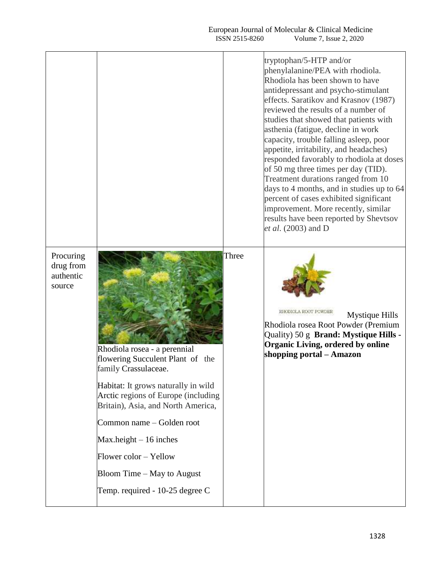## European Journal of Molecular & Clinical Medicine ISSN 2515-8260 Volume 7, Issue 2, 2020

tryptophan/5-HTP and/or phenylalanine/PEA with rhodiola. Rhodiola has been shown to have antidepressant and psycho-stimulant effects. Saratikov and Krasnov (1987) reviewed the results of a number of studies that showed that patients with asthenia (fatigue, decline in work capacity, trouble falling asleep, poor appetite, irritability, and headaches) responded favorably to rhodiola at doses of 50 mg three times per day (TID). Treatment durations ranged from 10 days to 4 months, and in studies up to 64 percent of cases exhibited significant improvement. More recently, similar

**Procuring** drug from authentic source

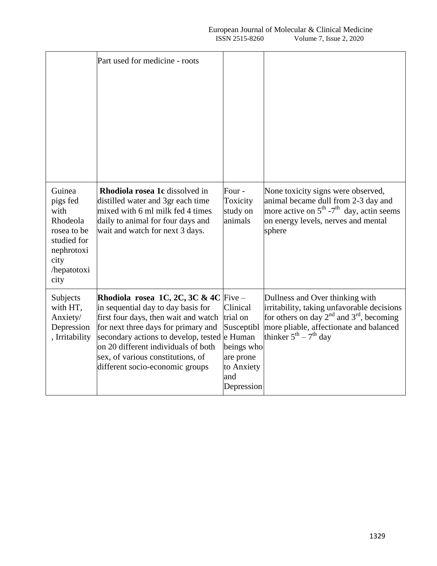|                                                                                                                   | Part used for medicine - roots                                                                                                                                                                                                                                                                             |                                                                                                                         |                                                                                                                                                                                                                 |
|-------------------------------------------------------------------------------------------------------------------|------------------------------------------------------------------------------------------------------------------------------------------------------------------------------------------------------------------------------------------------------------------------------------------------------------|-------------------------------------------------------------------------------------------------------------------------|-----------------------------------------------------------------------------------------------------------------------------------------------------------------------------------------------------------------|
| Guinea<br>pigs fed<br>with<br>Rhodeola<br>rosea to be<br>studied for<br>nephrotoxi<br>city<br>/hepatotoxi<br>city | Rhodiola rosea 1c dissolved in<br>distilled water and 3gr each time<br>mixed with 6 ml milk fed 4 times<br>daily to animal for four days and<br>wait and watch for next 3 days.                                                                                                                            | Four -<br>Toxicity<br>study on<br>animals                                                                               | None toxicity signs were observed,<br>animal became dull from 2-3 day and<br>more active on $5^{\text{th}}$ -7 <sup>th</sup> day, actin seems<br>on energy levels, nerves and mental<br>sphere                  |
| Subjects<br>with HT,<br>Anxiety/<br>Depression<br>, Irritability                                                  | Rhodiola rosea 1C, 2C, 3C & 4C<br>in sequential day to day basis for<br>first four days, then wait and watch<br>for next three days for primary and<br>secondary actions to develop, tested<br>on 20 different individuals of both<br>sex, of various constitutions, of<br>different socio-economic groups | $Five -$<br>Clinical<br>trial on<br>Susceptibl<br>e Human<br>beings who<br>are prone<br>to Anxiety<br>and<br>Depression | Dullness and Over thinking with<br>irritability, taking unfavorable decisions<br>for others on day $2^{nd}$ and $3^{rd}$ , becoming<br>more pliable, affectionate and balanced<br>thinker $5^{th} - 7^{th}$ day |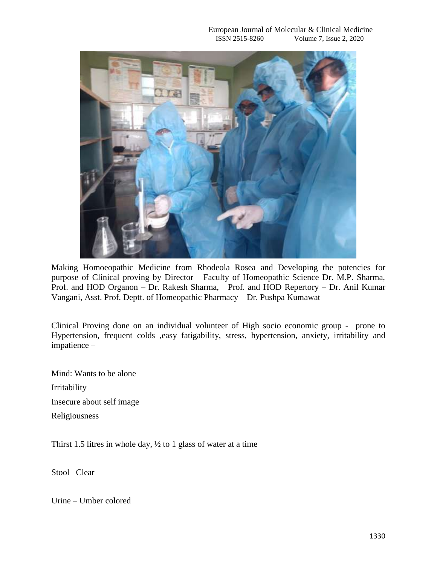

Making Homoeopathic Medicine from Rhodeola Rosea and Developing the potencies for purpose of Clinical proving by Director Faculty of Homeopathic Science Dr. M.P. Sharma, Prof. and HOD Organon – Dr. Rakesh Sharma, Prof. and HOD Repertory – Dr. Anil Kumar Vangani, Asst. Prof. Deptt. of Homeopathic Pharmacy – Dr. Pushpa Kumawat

Clinical Proving done on an individual volunteer of High socio economic group - prone to Hypertension, frequent colds ,easy fatigability, stress, hypertension, anxiety, irritability and impatience –

Mind: Wants to be alone Irritability Insecure about self image Religiousness

Thirst 1.5 litres in whole day,  $\frac{1}{2}$  to 1 glass of water at a time

Stool –Clear

Urine – Umber colored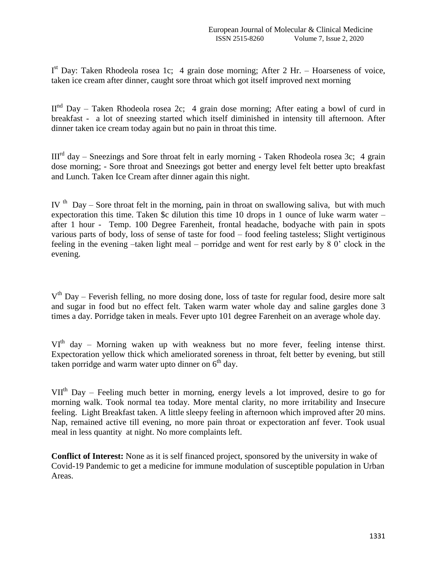$I<sup>st</sup>$  Day: Taken Rhodeola rosea 1c; 4 grain dose morning; After 2 Hr. – Hoarseness of voice, taken ice cream after dinner, caught sore throat which got itself improved next morning

 $II<sup>nd</sup>$  Day – Taken Rhodeola rosea 2c; 4 grain dose morning; After eating a bowl of curd in breakfast - a lot of sneezing started which itself diminished in intensity till afternoon. After dinner taken ice cream today again but no pain in throat this time.

 $III<sup>rd</sup>$  day – Sneezings and Sore throat felt in early morning - Taken Rhodeola rosea 3c; 4 grain dose morning; - Sore throat and Sneezings got better and energy level felt better upto breakfast and Lunch. Taken Ice Cream after dinner again this night.

IV <sup>th</sup> Day – Sore throat felt in the morning, pain in throat on swallowing saliva, but with much expectoration this time. Taken \$c dilution this time 10 drops in 1 ounce of luke warm water – after 1 hour - Temp. 100 Degree Farenheit, frontal headache, bodyache with pain in spots various parts of body, loss of sense of taste for food – food feeling tasteless; Slight vertiginous feeling in the evening –taken light meal – porridge and went for rest early by 8 0' clock in the evening.

V<sup>th</sup> Day – Feverish felling, no more dosing done, loss of taste for regular food, desire more salt and sugar in food but no effect felt. Taken warm water whole day and saline gargles done 3 times a day. Porridge taken in meals. Fever upto 101 degree Farenheit on an average whole day.

 $VI<sup>th</sup>$  day – Morning waken up with weakness but no more fever, feeling intense thirst. Expectoration yellow thick which ameliorated soreness in throat, felt better by evening, but still taken porridge and warm water upto dinner on  $6<sup>th</sup>$  day.

VII<sup>th</sup> Day – Feeling much better in morning, energy levels a lot improved, desire to go for morning walk. Took normal tea today. More mental clarity, no more irritability and Insecure feeling. Light Breakfast taken. A little sleepy feeling in afternoon which improved after 20 mins. Nap, remained active till evening, no more pain throat or expectoration anf fever. Took usual meal in less quantity at night. No more complaints left.

**Conflict of Interest:** None as it is self financed project, sponsored by the university in wake of Covid-19 Pandemic to get a medicine for immune modulation of susceptible population in Urban Areas.